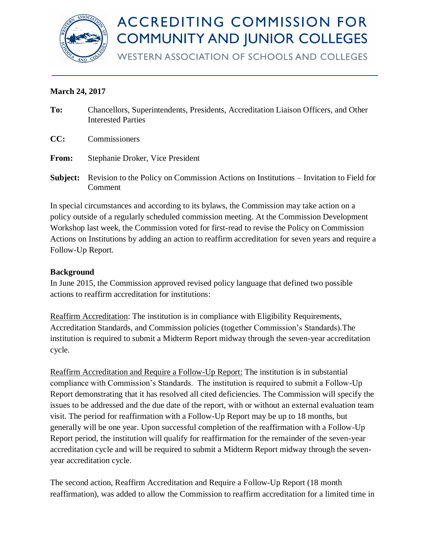

# **ACCREDITING COMMISSION FOR COMMUNITY AND JUNIOR COLLEGES**

**WESTERN ASSOCIATION OF SCHOOLS AND COLLEGES** 

# **March 24, 2017**

| To:      | Chancellors, Superintendents, Presidents, Accreditation Liaison Officers, and Other<br><b>Interested Parties</b> |
|----------|------------------------------------------------------------------------------------------------------------------|
| CC:      | Commissioners                                                                                                    |
| From:    | Stephanie Droker, Vice President                                                                                 |
| Subject: | Revision to the Policy on Commission Actions on Institutions – Invitation to Field for<br>Comment                |

In special circumstances and according to its bylaws, the Commission may take action on a policy outside of a regularly scheduled commission meeting. At the Commission Development Workshop last week, the Commission voted for first-read to revise the Policy on Commission Actions on Institutions by adding an action to reaffirm accreditation for seven years and require a Follow-Up Report.

# **Background**

In June 2015, the Commission approved revised policy language that defined two possible actions to reaffirm accreditation for institutions:

Reaffirm Accreditation: The institution is in compliance with Eligibility Requirements, Accreditation Standards, and Commission policies (together Commission's Standards).The institution is required to submit a Midterm Report midway through the seven-year accreditation cycle.

Reaffirm Accreditation and Require a Follow-Up Report: The institution is in substantial compliance with Commission's Standards. The institution is required to submit a Follow-Up Report demonstrating that it has resolved all cited deficiencies. The Commission will specify the issues to be addressed and the due date of the report, with or without an external evaluation team visit. The period for reaffirmation with a Follow-Up Report may be up to 18 months, but generally will be one year. Upon successful completion of the reaffirmation with a Follow-Up Report period, the institution will qualify for reaffirmation for the remainder of the seven-year accreditation cycle and will be required to submit a Midterm Report midway through the sevenyear accreditation cycle.

The second action, Reaffirm Accreditation and Require a Follow-Up Report (18 month reaffirmation), was added to allow the Commission to reaffirm accreditation for a limited time in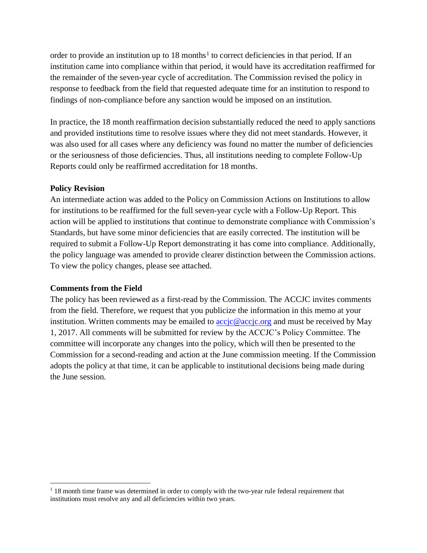order to provide an institution up to  $18$  months<sup>1</sup> to correct deficiencies in that period. If an institution came into compliance within that period, it would have its accreditation reaffirmed for the remainder of the seven-year cycle of accreditation. The Commission revised the policy in response to feedback from the field that requested adequate time for an institution to respond to findings of non-compliance before any sanction would be imposed on an institution.

In practice, the 18 month reaffirmation decision substantially reduced the need to apply sanctions and provided institutions time to resolve issues where they did not meet standards. However, it was also used for all cases where any deficiency was found no matter the number of deficiencies or the seriousness of those deficiencies. Thus, all institutions needing to complete Follow-Up Reports could only be reaffirmed accreditation for 18 months.

# **Policy Revision**

An intermediate action was added to the Policy on Commission Actions on Institutions to allow for institutions to be reaffirmed for the full seven-year cycle with a Follow-Up Report. This action will be applied to institutions that continue to demonstrate compliance with Commission's Standards, but have some minor deficiencies that are easily corrected. The institution will be required to submit a Follow-Up Report demonstrating it has come into compliance. Additionally, the policy language was amended to provide clearer distinction between the Commission actions. To view the policy changes, please see attached.

# **Comments from the Field**

The policy has been reviewed as a first-read by the Commission. The ACCJC invites comments from the field. Therefore, we request that you publicize the information in this memo at your institution. Written comments may be emailed to [accjc@accjc.org](mailto:accjc@accjc.org) and must be received by May 1, 2017. All comments will be submitted for review by the ACCJC's Policy Committee. The committee will incorporate any changes into the policy, which will then be presented to the Commission for a second-reading and action at the June commission meeting. If the Commission adopts the policy at that time, it can be applicable to institutional decisions being made during the June session.

<sup>&</sup>lt;sup>1</sup> 18 month time frame was determined in order to comply with the two-year rule federal requirement that institutions must resolve any and all deficiencies within two years.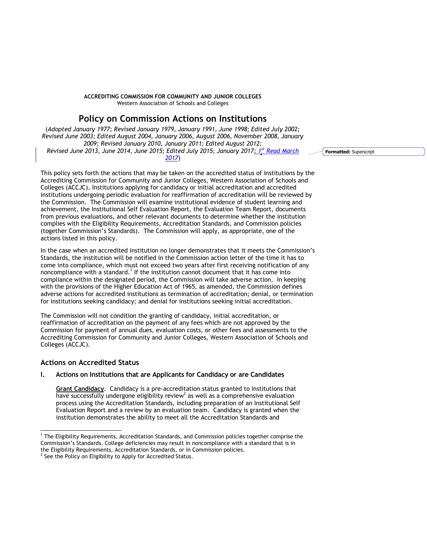## **ACCREDITING COMMISSION FOR COMMUNITY AND JUNIOR COLLEGES** Western Association of Schools and Colleges

# **Policy on Commission Actions on Institutions**

(*Adopted January 1977; Revised January 1979, January 1991, June 1998; Edited July 2002; Revised June 2003; Edited August 2004, January 2006, August 2006, November 2008, January 2009; Revised January 2010, January 2011; Edited August 2012; Revised June 2013, June 2014, June 2015; Edited July 2015; January 2017; 1st Read March 2017*)

This policy sets forth the actions that may be taken on the accredited status of institutions by the Accrediting Commission for Community and Junior Colleges, Western Association of Schools and Colleges (ACCJC). Institutions applying for candidacy or initial accreditation and accredited institutions undergoing periodic evaluation for reaffirmation of accreditation will be reviewed by the Commission. The Commission will examine institutional evidence of student learning and achievement, the Institutional Self Evaluation Report, the Evaluation Team Report, documents from previous evaluations, and other relevant documents to determine whether the institution complies with the Eligibility Requirements, Accreditation Standards, and Commission policies (together Commission's Standards). The Commission will apply, as appropriate, one of the actions listed in this policy.

In the case when an accredited institution no longer demonstrates that it meets the Commission's Standards, the institution will be notified in the Commission action letter of the time it has to come into compliance, which must not exceed two years after first receiving notification of any noncompliance with a standard.<sup>1</sup> If the institution cannot document that it has come into compliance within the designated period, the Commission will take adverse action. In keeping with the provisions of the Higher Education Act of 1965, as amended, the Commission defines adverse actions for accredited institutions as termination of accreditation; denial, or termination for institutions seeking candidacy; and denial for institutions seeking initial accreditation.

The Commission will not condition the granting of candidacy, initial accreditation, or reaffirmation of accreditation on the payment of any fees which are not approved by the Commission for payment of annual dues, evaluation costs, or other fees and assessments to the Accrediting Commission for Community and Junior Colleges, Western Association of Schools and Colleges (ACCJC).

# **Actions on Accredited Status**

l

## **I. Actions on Institutions that are Applicants for Candidacy or are Candidates**

**Grant Candidacy**. Candidacy is a pre-accreditation status granted to institutions that have successfully undergone eligibility review<sup>2</sup> as well as a comprehensive evaluation process using the Accreditation Standards, including preparation of an Institutional Self Evaluation Report and a review by an evaluation team. Candidacy is granted when the institution demonstrates the ability to meet all the Accreditation Standards and

 $2$  See the Policy on Eligibility to Apply for Accredited Status.

**Formatted:** Superscript

<sup>&</sup>lt;sup>1</sup> The Eligibility Requirements, Accreditation Standards, and Commission policies together comprise the Commission's Standards. College deficiencies may result in noncompliance with a standard that is in the Eligibility Requirements, Accreditation Standards, or in Commission policies.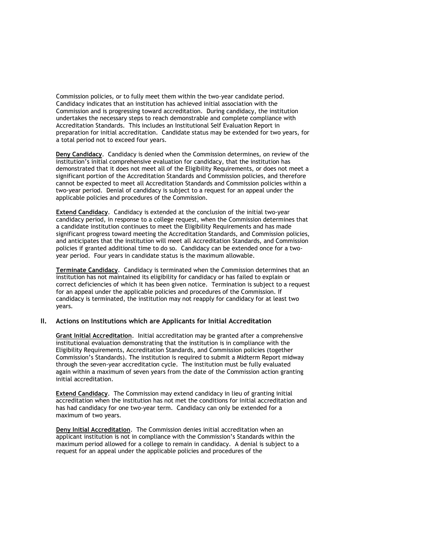Commission policies, or to fully meet them within the two-year candidate period. Candidacy indicates that an institution has achieved initial association with the Commission and is progressing toward accreditation. During candidacy, the institution undertakes the necessary steps to reach demonstrable and complete compliance with Accreditation Standards. This includes an Institutional Self Evaluation Report in preparation for initial accreditation. Candidate status may be extended for two years, for a total period not to exceed four years.

**Deny Candidacy**. Candidacy is denied when the Commission determines, on review of the institution's initial comprehensive evaluation for candidacy, that the institution has demonstrated that it does not meet all of the Eligibility Requirements, or does not meet a significant portion of the Accreditation Standards and Commission policies, and therefore cannot be expected to meet all Accreditation Standards and Commission policies within a two-year period. Denial of candidacy is subject to a request for an appeal under the applicable policies and procedures of the Commission.

**Extend Candidacy**. Candidacy is extended at the conclusion of the initial two-year candidacy period, in response to a college request, when the Commission determines that a candidate institution continues to meet the Eligibility Requirements and has made significant progress toward meeting the Accreditation Standards, and Commission policies, and anticipates that the institution will meet all Accreditation Standards, and Commission policies if granted additional time to do so. Candidacy can be extended once for a twoyear period. Four years in candidate status is the maximum allowable.

**Terminate Candidacy**. Candidacy is terminated when the Commission determines that an institution has not maintained its eligibility for candidacy or has failed to explain or correct deficiencies of which it has been given notice. Termination is subject to a request for an appeal under the applicable policies and procedures of the Commission. If candidacy is terminated, the institution may not reapply for candidacy for at least two years.

## **II. Actions on Institutions which are Applicants for Initial Accreditation**

**Grant Initial Accreditation**. Initial accreditation may be granted after a comprehensive institutional evaluation demonstrating that the institution is in compliance with the Eligibility Requirements, Accreditation Standards, and Commission policies (together Commission's Standards). The institution is required to submit a Midterm Report midway through the seven-year accreditation cycle. The institution must be fully evaluated again within a maximum of seven years from the date of the Commission action granting initial accreditation.

**Extend Candidacy**. The Commission may extend candidacy in lieu of granting initial accreditation when the institution has not met the conditions for initial accreditation and has had candidacy for one two-year term. Candidacy can only be extended for a maximum of two years.

**Deny Initial Accreditation**. The Commission denies initial accreditation when an applicant institution is not in compliance with the Commission's Standards within the maximum period allowed for a college to remain in candidacy. A denial is subject to a request for an appeal under the applicable policies and procedures of the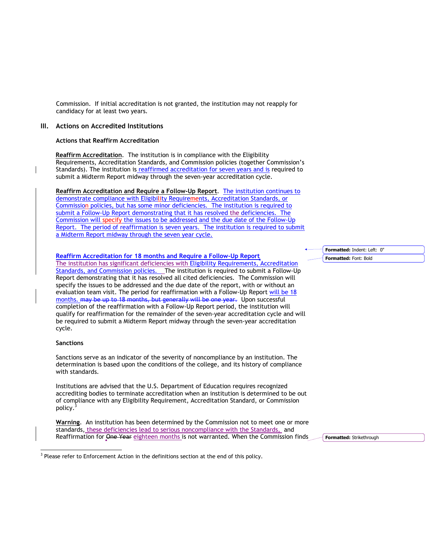Commission. If initial accreditation is not granted, the institution may not reapply for candidacy for at least two years.

## **III. Actions on Accredited Institutions**

## **Actions that Reaffirm Accreditation**

**Reaffirm Accreditation**. The institution is in compliance with the Eligibility Requirements, Accreditation Standards, and Commission policies (together Commission's Standards). The institution is reaffirmed accreditation for seven years and is required to submit a Midterm Report midway through the seven-year accreditation cycle.

**Reaffirm Accreditation and Require a Follow-Up Report**. The institution continues to demonstrate compliance with Eligibility Requirements, Accreditation Standards, or Commission policies, but has some minor deficiencies. The institution is required to submit a Follow-Up Report demonstrating that it has resolved the deficiencies. The Commission will specify the issues to be addressed and the due date of the Follow-Up Report. The period of reaffirmation is seven years. The institution is required to submit a Midterm Report midway through the seven year cycle.

**Reaffirm Accreditation for 18 months and Require a Follow-Up Report** The institution has significant deficiencies with Eligibility Requirements, Accreditation Standards, and Commission policies. The institution is required to submit a Follow-Up Report demonstrating that it has resolved all cited deficiencies. The Commission will specify the issues to be addressed and the due date of the report, with or without an evaluation team visit. The period for reaffirmation with a Follow-Up Report will be 18 months. may be up to 18 months, but generally will be one year. Upon successful completion of the reaffirmation with a Follow-Up Report period, the institution will qualify for reaffirmation for the remainder of the seven-year accreditation cycle and will be required to submit a Midterm Report midway through the seven-year accreditation cycle.

## **Sanctions**

Sanctions serve as an indicator of the severity of noncompliance by an institution. The determination is based upon the conditions of the college, and its history of compliance with standards.

Institutions are advised that the U.S. Department of Education requires recognized accrediting bodies to terminate accreditation when an institution is determined to be out of compliance with any Eligibility Requirement, Accreditation Standard, or Commission policy.<sup>3</sup>

**Warning**. An institution has been determined by the Commission not to meet one or more standards, these deficiencies lead to serious noncompliance with the Standards, and Reaffirmation for One Year eighteen months is not warranted. When the Commission finds

**Formatted:** Strikethrough

3 Please refer to Enforcement Action in the definitions section at the end of this policy.

**Formatted:** Indent: Left: 0" **Formatted:** Font: Bold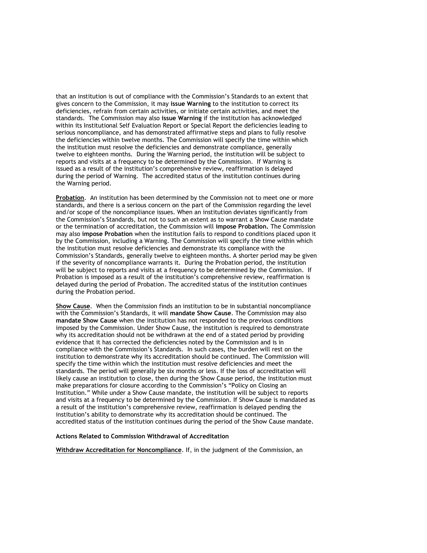that an institution is out of compliance with the Commission's Standards to an extent that gives concern to the Commission, it may **issue Warning** to the institution to correct its deficiencies, refrain from certain activities, or initiate certain activities, and meet the standards. The Commission may also **issue Warning** if the institution has acknowledged within its Institutional Self Evaluation Report or Special Report the deficiencies leading to serious noncompliance, and has demonstrated affirmative steps and plans to fully resolve the deficiencies within twelve months. The Commission will specify the time within which the institution must resolve the deficiencies and demonstrate compliance, generally twelve to eighteen months. During the Warning period, the institution will be subject to reports and visits at a frequency to be determined by the Commission. If Warning is issued as a result of the institution's comprehensive review, reaffirmation is delayed during the period of Warning. The accredited status of the institution continues during the Warning period.

**Probation**. An institution has been determined by the Commission not to meet one or more standards, and there is a serious concern on the part of the Commission regarding the level and/or scope of the noncompliance issues. When an institution deviates significantly from the Commission's Standards, but not to such an extent as to warrant a Show Cause mandate or the termination of accreditation, the Commission will **impose Probation.** The Commission may also **impose Probation** when the institution fails to respond to conditions placed upon it by the Commission, including a Warning. The Commission will specify the time within which the institution must resolve deficiencies and demonstrate its compliance with the Commission's Standards, generally twelve to eighteen months. A shorter period may be given if the severity of noncompliance warrants it. During the Probation period, the institution will be subject to reports and visits at a frequency to be determined by the Commission. If Probation is imposed as a result of the institution's comprehensive review, reaffirmation is delayed during the period of Probation. The accredited status of the institution continues during the Probation period.

**Show Cause**. When the Commission finds an institution to be in substantial noncompliance with the Commission's Standards, it will **mandate Show Cause**. The Commission may also **mandate Show Cause** when the institution has not responded to the previous conditions imposed by the Commission. Under Show Cause, the institution is required to demonstrate why its accreditation should not be withdrawn at the end of a stated period by providing evidence that it has corrected the deficiencies noted by the Commission and is in compliance with the Commission's Standards. In such cases, the burden will rest on the institution to demonstrate why its accreditation should be continued. The Commission will specify the time within which the institution must resolve deficiencies and meet the standards. The period will generally be six months or less. If the loss of accreditation will likely cause an institution to close, then during the Show Cause period, the institution must make preparations for closure according to the Commission's "Policy on Closing an Institution." While under a Show Cause mandate, the institution will be subject to reports and visits at a frequency to be determined by the Commission. If Show Cause is mandated as a result of the institution's comprehensive review, reaffirmation is delayed pending the institution's ability to demonstrate why its accreditation should be continued. The accredited status of the institution continues during the period of the Show Cause mandate.

#### **Actions Related to Commission Withdrawal of Accreditation**

**Withdraw Accreditation for Noncompliance**. If, in the judgment of the Commission, an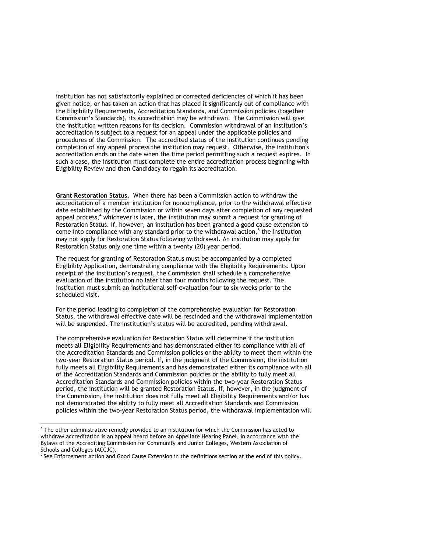institution has not satisfactorily explained or corrected deficiencies of which it has been given notice, or has taken an action that has placed it significantly out of compliance with the Eligibility Requirements, Accreditation Standards, and Commission policies (together Commission's Standards), its accreditation may be withdrawn. The Commission will give the institution written reasons for its decision. Commission withdrawal of an institution's accreditation is subject to a request for an appeal under the applicable policies and procedures of the Commission. The accredited status of the institution continues pending completion of any appeal process the institution may request. Otherwise, the institution's accreditation ends on the date when the time period permitting such a request expires. In such a case, the institution must complete the entire accreditation process beginning with Eligibility Review and then Candidacy to regain its accreditation.

**Grant Restoration Status.** When there has been a Commission action to withdraw the accreditation of a member institution for noncompliance, prior to the withdrawal effective date established by the Commission or within seven days after completion of any requested appeal process,<sup>4</sup> whichever is later, the institution may submit a request for granting of Restoration Status. If, however, an institution has been granted a good cause extension to come into compliance with any standard prior to the withdrawal action, $<sup>5</sup>$  the institution</sup> may not apply for Restoration Status following withdrawal. An institution may apply for Restoration Status only one time within a twenty (20) year period.

The request for granting of Restoration Status must be accompanied by a completed Eligibility Application, demonstrating compliance with the Eligibility Requirements. Upon receipt of the institution's request, the Commission shall schedule a comprehensive evaluation of the institution no later than four months following the request. The institution must submit an institutional self-evaluation four to six weeks prior to the scheduled visit.

For the period leading to completion of the comprehensive evaluation for Restoration Status, the withdrawal effective date will be rescinded and the withdrawal implementation will be suspended. The institution's status will be accredited, pending withdrawal.

The comprehensive evaluation for Restoration Status will determine if the institution meets all Eligibility Requirements and has demonstrated either its compliance with all of the Accreditation Standards and Commission policies or the ability to meet them within the two-year Restoration Status period. If, in the judgment of the Commission, the institution fully meets all Eligibility Requirements and has demonstrated either its compliance with all of the Accreditation Standards and Commission policies or the ability to fully meet all Accreditation Standards and Commission policies within the two-year Restoration Status period, the institution will be granted Restoration Status. If, however, in the judgment of the Commission, the institution does not fully meet all Eligibility Requirements and/or has not demonstrated the ability to fully meet all Accreditation Standards and Commission policies within the two-year Restoration Status period, the withdrawal implementation will

 4 The other administrative remedy provided to an institution for which the Commission has acted to withdraw accreditation is an appeal heard before an Appellate Hearing Panel, in accordance with the Bylaws of the Accrediting Commission for Community and Junior Colleges, Western Association of Schools and Colleges (ACCJC).

<sup>5</sup> See Enforcement Action and Good Cause Extension in the definitions section at the end of this policy.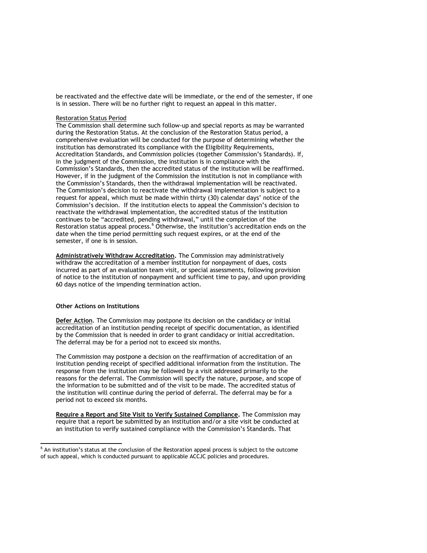be reactivated and the effective date will be immediate, or the end of the semester, if one is in session. There will be no further right to request an appeal in this matter.

### Restoration Status Period

The Commission shall determine such follow-up and special reports as may be warranted during the Restoration Status. At the conclusion of the Restoration Status period, a comprehensive evaluation will be conducted for the purpose of determining whether the institution has demonstrated its compliance with the Eligibility Requirements, Accreditation Standards, and Commission policies (together Commission's Standards). If, in the judgment of the Commission, the institution is in compliance with the Commission's Standards, then the accredited status of the institution will be reaffirmed. However, if in the judgment of the Commission the institution is not in compliance with the Commission's Standards, then the withdrawal implementation will be reactivated. The Commission's decision to reactivate the withdrawal implementation is subject to a request for appeal, which must be made within thirty (30) calendar days' notice of the Commission's decision. If the institution elects to appeal the Commission's decision to reactivate the withdrawal implementation, the accredited status of the institution continues to be "accredited, pending withdrawal," until the completion of the Restoration status appeal process.<sup>6</sup> Otherwise, the institution's accreditation ends on the date when the time period permitting such request expires, or at the end of the semester, if one is in session.

**Administratively Withdraw Accreditation.** The Commission may administratively withdraw the accreditation of a member institution for nonpayment of dues, costs incurred as part of an evaluation team visit, or special assessments, following provision of notice to the institution of nonpayment and sufficient time to pay, and upon providing 60 days notice of the impending termination action.

### **Other Actions on Institutions**

l

**Defer Action***.* The Commission may postpone its decision on the candidacy or initial accreditation of an institution pending receipt of specific documentation, as identified by the Commission that is needed in order to grant candidacy or initial accreditation. The deferral may be for a period not to exceed six months.

The Commission may postpone a decision on the reaffirmation of accreditation of an institution pending receipt of specified additional information from the institution. The response from the institution may be followed by a visit addressed primarily to the reasons for the deferral. The Commission will specify the nature, purpose, and scope of the information to be submitted and of the visit to be made. The accredited status of the institution will continue during the period of deferral. The deferral may be for a period not to exceed six months.

**Require a Report and Site Visit to Verify Sustained Compliance.** The Commission may require that a report be submitted by an institution and/or a site visit be conducted at an institution to verify sustained compliance with the Commission's Standards. That

<sup>&</sup>lt;sup>6</sup> An institution's status at the conclusion of the Restoration appeal process is subject to the outcome of such appeal, which is conducted pursuant to applicable ACCJC policies and procedures.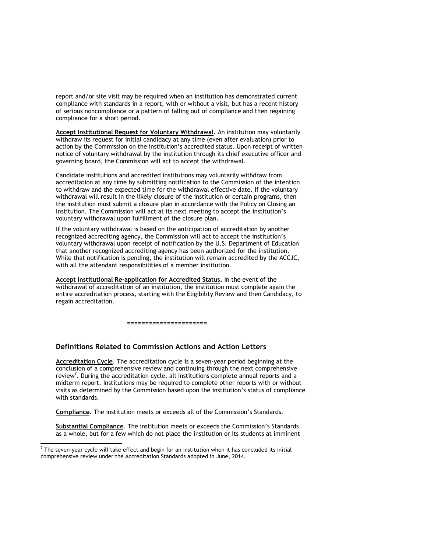report and/or site visit may be required when an institution has demonstrated current compliance with standards in a report, with or without a visit, but has a recent history of serious noncompliance or a pattern of falling out of compliance and then regaining compliance for a short period.

**Accept Institutional Request for Voluntary Withdrawal.** An institution may voluntarily withdraw its request for initial candidacy at any time (even after evaluation) prior to action by the Commission on the institution's accredited status. Upon receipt of written notice of voluntary withdrawal by the institution through its chief executive officer and governing board, the Commission will act to accept the withdrawal.

Candidate institutions and accredited institutions may voluntarily withdraw from accreditation at any time by submitting notification to the Commission of the intention to withdraw and the expected time for the withdrawal effective date. If the voluntary withdrawal will result in the likely closure of the institution or certain programs, then the institution must submit a closure plan in accordance with the Policy on Closing an Institution. The Commission will act at its next meeting to accept the institution's voluntary withdrawal upon fulfillment of the closure plan.

If the voluntary withdrawal is based on the anticipation of accreditation by another recognized accrediting agency, the Commission will act to accept the institution's voluntary withdrawal upon receipt of notification by the U.S. Department of Education that another recognized accrediting agency has been authorized for the institution. While that notification is pending, the institution will remain accredited by the ACCJC, with all the attendant responsibilities of a member institution.

**Accept Institutional Re-application for Accredited Status.** In the event of the withdrawal of accreditation of an institution, the institution must complete again the entire accreditation process, starting with the Eligibility Review and then Candidacy, to regain accreditation.

**======================**

#### **Definitions Related to Commission Actions and Action Letters**

**Accreditation Cycle**. The accreditation cycle is a seven-year period beginning at the conclusion of a comprehensive review and continuing through the next comprehensive review<sup>7</sup>. During the accreditation cycle, all institutions complete annual reports and a midterm report. Institutions may be required to complete other reports with or without visits as determined by the Commission based upon the institution's status of compliance with standards.

**Compliance**. The institution meets or exceeds all of the Commission's Standards.

**Substantial Compliance**. The institution meets or exceeds the Commission's Standards as a whole, but for a few which do not place the institution or its students at imminent

l

 $^7$  The seven-year cycle will take effect and begin for an institution when it has concluded its initial comprehensive review under the Accreditation Standards adopted in June, 2014.